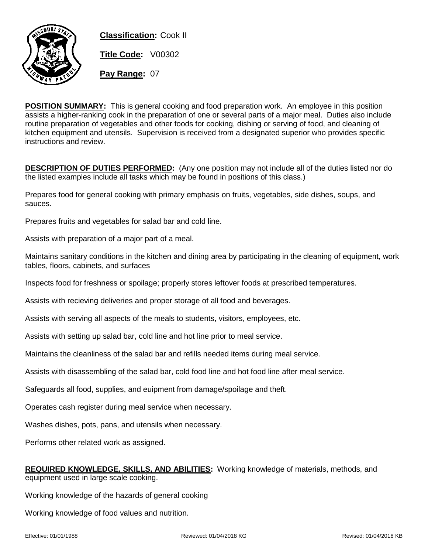

**Classification:** Cook II **Title Code:** V00302 **Pay Range:** 07

**POSITION SUMMARY:** This is general cooking and food preparation work. An employee in this position assists a higher-ranking cook in the preparation of one or several parts of a major meal. Duties also include routine preparation of vegetables and other foods for cooking, dishing or serving of food, and cleaning of kitchen equipment and utensils. Supervision is received from a designated superior who provides specific instructions and review.

**DESCRIPTION OF DUTIES PERFORMED:** (Any one position may not include all of the duties listed nor do the listed examples include all tasks which may be found in positions of this class.)

Prepares food for general cooking with primary emphasis on fruits, vegetables, side dishes, soups, and sauces.

Prepares fruits and vegetables for salad bar and cold line.

Assists with preparation of a major part of a meal.

Maintains sanitary conditions in the kitchen and dining area by participating in the cleaning of equipment, work tables, floors, cabinets, and surfaces

Inspects food for freshness or spoilage; properly stores leftover foods at prescribed temperatures.

Assists with recieving deliveries and proper storage of all food and beverages.

Assists with serving all aspects of the meals to students, visitors, employees, etc.

Assists with setting up salad bar, cold line and hot line prior to meal service.

Maintains the cleanliness of the salad bar and refills needed items during meal service.

Assists with disassembling of the salad bar, cold food line and hot food line after meal service.

Safeguards all food, supplies, and euipment from damage/spoilage and theft.

Operates cash register during meal service when necessary.

Washes dishes, pots, pans, and utensils when necessary.

Performs other related work as assigned.

| <b>REQUIRED KNOWLEDGE, SKILLS, AND ABILITIES:</b> Working knowledge of materials, methods, and |  |
|------------------------------------------------------------------------------------------------|--|
| equipment used in large scale cooking.                                                         |  |

Working knowledge of the hazards of general cooking

Working knowledge of food values and nutrition.